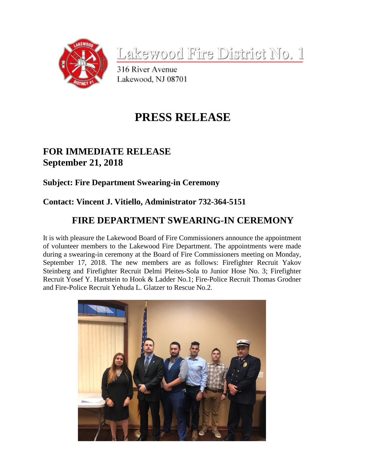

Lakewood Fire District No. 1

316 River Avenue Lakewood, NJ 08701

# **PRESS RELEASE**

## **FOR IMMEDIATE RELEASE September 21, 2018**

#### **Subject: Fire Department Swearing-in Ceremony**

### **Contact: Vincent J. Vitiello, Administrator 732-364-5151**

## **FIRE DEPARTMENT SWEARING-IN CEREMONY**

It is with pleasure the Lakewood Board of Fire Commissioners announce the appointment of volunteer members to the Lakewood Fire Department. The appointments were made during a swearing-in ceremony at the Board of Fire Commissioners meeting on Monday, September 17, 2018. The new members are as follows: Firefighter Recruit Yakov Steinberg and Firefighter Recruit Delmi Pleites-Sola to Junior Hose No. 3; Firefighter Recruit Yosef Y. Hartstein to Hook & Ladder No.1; Fire-Police Recruit Thomas Grodner and Fire-Police Recruit Yehuda L. Glatzer to Rescue No.2.